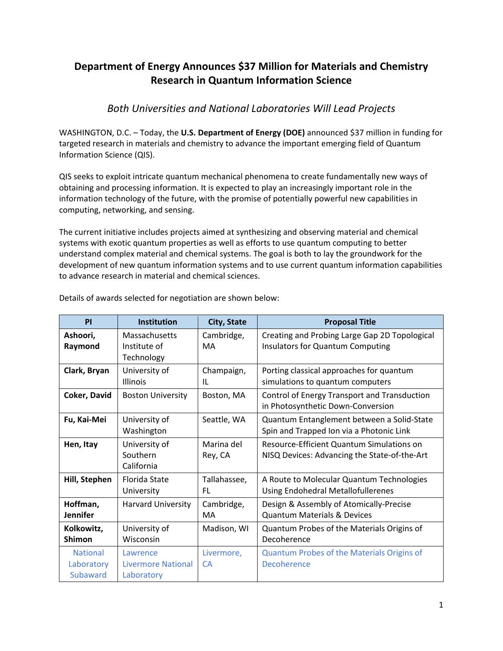## **Department of Energy Announces \$37 Million for Materials and Chemistry Research in Quantum Information Science**

## *Both Universities and National Laboratories Will Lead Projects*

WASHINGTON, D.C. – Today, the **U.S. Department of Energy (DOE)** announced \$37 million in funding for targeted research in materials and chemistry to advance the important emerging field of Quantum Information Science (QIS).

QIS seeks to exploit intricate quantum mechanical phenomena to create fundamentally new ways of obtaining and processing information. It is expected to play an increasingly important role in the information technology of the future, with the promise of potentially powerful new capabilities in computing, networking, and sensing.

The current initiative includes projects aimed at synthesizing and observing material and chemical systems with exotic quantum properties as well as efforts to use quantum computing to better understand complex material and chemical systems. The goal is both to lay the groundwork for the development of new quantum information systems and to use current quantum information capabilities to advance research in material and chemical sciences.

| <b>PI</b>                                 | <b>Institution</b>                           | City, State             | <b>Proposal Title</b>                                                                     |
|-------------------------------------------|----------------------------------------------|-------------------------|-------------------------------------------------------------------------------------------|
| Ashoori,<br>Raymond                       | Massachusetts<br>Institute of<br>Technology  | Cambridge,<br>MA        | Creating and Probing Large Gap 2D Topological<br>Insulators for Quantum Computing         |
| Clark, Bryan                              | University of<br><b>Illinois</b>             | Champaign,<br>IL        | Porting classical approaches for quantum<br>simulations to quantum computers              |
| Coker, David                              | <b>Boston University</b>                     | Boston, MA              | Control of Energy Transport and Transduction<br>in Photosynthetic Down-Conversion         |
| Fu, Kai-Mei                               | University of<br>Washington                  | Seattle, WA             | Quantum Entanglement between a Solid-State<br>Spin and Trapped Ion via a Photonic Link    |
| Hen, Itay                                 | University of<br>Southern<br>California      | Marina del<br>Rey, CA   | Resource-Efficient Quantum Simulations on<br>NISQ Devices: Advancing the State-of-the-Art |
| Hill, Stephen                             | Florida State<br>University                  | Tallahassee,<br>FL.     | A Route to Molecular Quantum Technologies<br><b>Using Endohedral Metallofullerenes</b>    |
| Hoffman,<br><b>Jennifer</b>               | Harvard University                           | Cambridge,<br>MA        | Design & Assembly of Atomically-Precise<br><b>Quantum Materials &amp; Devices</b>         |
| Kolkowitz,<br>Shimon                      | University of<br>Wisconsin                   | Madison, WI             | Quantum Probes of the Materials Origins of<br>Decoherence                                 |
| <b>National</b><br>Laboratory<br>Subaward | Lawrence<br>Livermore National<br>Laboratory | Livermore,<br><b>CA</b> | Quantum Probes of the Materials Origins of<br>Decoherence                                 |

Details of awards selected for negotiation are shown below: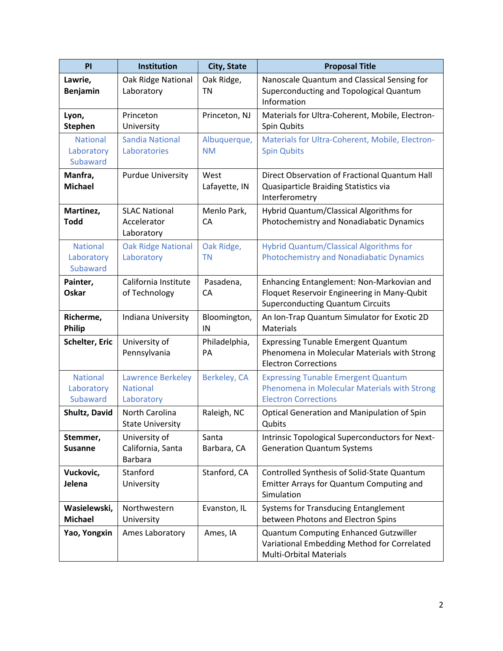| PI                                        | <b>Institution</b>                                        | City, State               | <b>Proposal Title</b>                                                                                                               |
|-------------------------------------------|-----------------------------------------------------------|---------------------------|-------------------------------------------------------------------------------------------------------------------------------------|
| Lawrie,<br><b>Benjamin</b>                | Oak Ridge National<br>Laboratory                          | Oak Ridge,<br><b>TN</b>   | Nanoscale Quantum and Classical Sensing for<br>Superconducting and Topological Quantum<br>Information                               |
| Lyon,<br><b>Stephen</b>                   | Princeton<br>University                                   | Princeton, NJ             | Materials for Ultra-Coherent, Mobile, Electron-<br>Spin Qubits                                                                      |
| <b>National</b><br>Laboratory<br>Subaward | <b>Sandia National</b><br>Laboratories                    | Albuquerque,<br><b>NM</b> | Materials for Ultra-Coherent, Mobile, Electron-<br><b>Spin Qubits</b>                                                               |
| Manfra,<br><b>Michael</b>                 | <b>Purdue University</b>                                  | West<br>Lafayette, IN     | Direct Observation of Fractional Quantum Hall<br>Quasiparticle Braiding Statistics via<br>Interferometry                            |
| Martinez,<br><b>Todd</b>                  | <b>SLAC National</b><br>Accelerator<br>Laboratory         | Menlo Park,<br><b>CA</b>  | Hybrid Quantum/Classical Algorithms for<br>Photochemistry and Nonadiabatic Dynamics                                                 |
| <b>National</b><br>Laboratory<br>Subaward | <b>Oak Ridge National</b><br>Laboratory                   | Oak Ridge,<br><b>TN</b>   | <b>Hybrid Quantum/Classical Algorithms for</b><br><b>Photochemistry and Nonadiabatic Dynamics</b>                                   |
| Painter,<br>Oskar                         | California Institute<br>of Technology                     | Pasadena,<br><b>CA</b>    | Enhancing Entanglement: Non-Markovian and<br>Floquet Reservoir Engineering in Many-Qubit<br><b>Superconducting Quantum Circuits</b> |
| Richerme,<br><b>Philip</b>                | Indiana University                                        | Bloomington,<br>IN        | An Ion-Trap Quantum Simulator for Exotic 2D<br><b>Materials</b>                                                                     |
| <b>Schelter, Eric</b>                     | University of<br>Pennsylvania                             | Philadelphia,<br>PA       | <b>Expressing Tunable Emergent Quantum</b><br>Phenomena in Molecular Materials with Strong<br><b>Electron Corrections</b>           |
| <b>National</b><br>Laboratory<br>Subaward | <b>Lawrence Berkeley</b><br><b>National</b><br>Laboratory | Berkeley, CA              | <b>Expressing Tunable Emergent Quantum</b><br>Phenomena in Molecular Materials with Strong<br><b>Electron Corrections</b>           |
| Shultz, David                             | North Carolina<br><b>State University</b>                 | Raleigh, NC               | Optical Generation and Manipulation of Spin<br>Qubits                                                                               |
| Stemmer,<br><b>Susanne</b>                | University of<br>California, Santa<br><b>Barbara</b>      | Santa<br>Barbara, CA      | Intrinsic Topological Superconductors for Next-<br><b>Generation Quantum Systems</b>                                                |
| Vuckovic,<br>Jelena                       | Stanford<br>University                                    | Stanford, CA              | Controlled Synthesis of Solid-State Quantum<br>Emitter Arrays for Quantum Computing and<br>Simulation                               |
| Wasielewski,<br><b>Michael</b>            | Northwestern<br>University                                | Evanston, IL              | <b>Systems for Transducing Entanglement</b><br>between Photons and Electron Spins                                                   |
| Yao, Yongxin                              | Ames Laboratory                                           | Ames, IA                  | Quantum Computing Enhanced Gutzwiller<br>Variational Embedding Method for Correlated<br><b>Multi-Orbital Materials</b>              |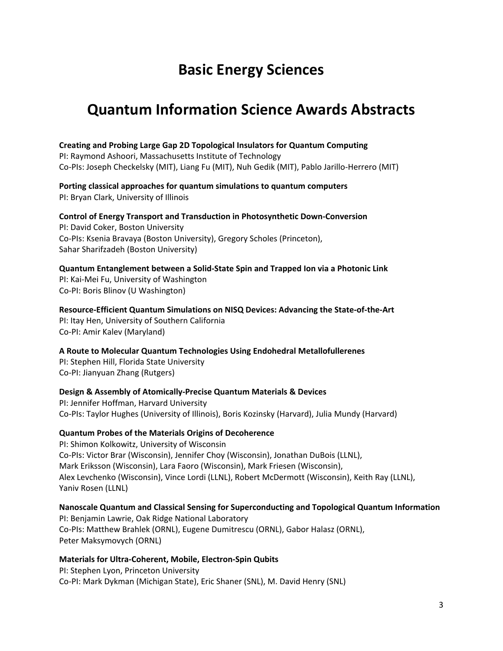# **Basic Energy Sciences**

## **Quantum Information Science Awards Abstracts**

#### **Creating and Probing Large Gap 2D Topological Insulators for Quantum Computing**

PI: Raymond Ashoori, Massachusetts Institute of Technology Co-PIs: Joseph Checkelsky (MIT), Liang Fu (MIT), Nuh Gedik (MIT), Pablo Jarillo-Herrero (MIT)

**Porting classical approaches for quantum simulations to quantum computers** 

PI: Bryan Clark, University of Illinois

#### **Control of Energy Transport and Transduction in Photosynthetic Down-Conversion**

PI: David Coker, Boston University Co-PIs: Ksenia Bravaya (Boston University), Gregory Scholes (Princeton), Sahar Sharifzadeh (Boston University)

#### **Quantum Entanglement between a Solid-State Spin and Trapped Ion via a Photonic Link** PI: Kai-Mei Fu, University of Washington Co-PI: Boris Blinov (U Washington)

**Resource-Efficient Quantum Simulations on NISQ Devices: Advancing the State-of-the-Art** PI: Itay Hen, University of Southern California Co-PI: Amir Kalev (Maryland)

**A Route to Molecular Quantum Technologies Using Endohedral Metallofullerenes**

PI: Stephen Hill, Florida State University Co-PI: Jianyuan Zhang (Rutgers)

#### **Design & Assembly of Atomically-Precise Quantum Materials & Devices**

PI: Jennifer Hoffman, Harvard University Co-PIs: Taylor Hughes (University of Illinois), Boris Kozinsky (Harvard), Julia Mundy (Harvard)

#### **Quantum Probes of the Materials Origins of Decoherence**

PI: Shimon Kolkowitz, University of Wisconsin Co-PIs: Victor Brar (Wisconsin), Jennifer Choy (Wisconsin), Jonathan DuBois (LLNL), Mark Eriksson (Wisconsin), Lara Faoro (Wisconsin), Mark Friesen (Wisconsin), Alex Levchenko (Wisconsin), Vince Lordi (LLNL), Robert McDermott (Wisconsin), Keith Ray (LLNL), Yaniv Rosen (LLNL)

#### **Nanoscale Quantum and Classical Sensing for Superconducting and Topological Quantum Information**

PI: Benjamin Lawrie, Oak Ridge National Laboratory Co-PIs: Matthew Brahlek (ORNL), Eugene Dumitrescu (ORNL), Gabor Halasz (ORNL), Peter Maksymovych (ORNL)

#### **Materials for Ultra-Coherent, Mobile, Electron-Spin Qubits**

PI: Stephen Lyon, Princeton University Co-PI: Mark Dykman (Michigan State), Eric Shaner (SNL), M. David Henry (SNL)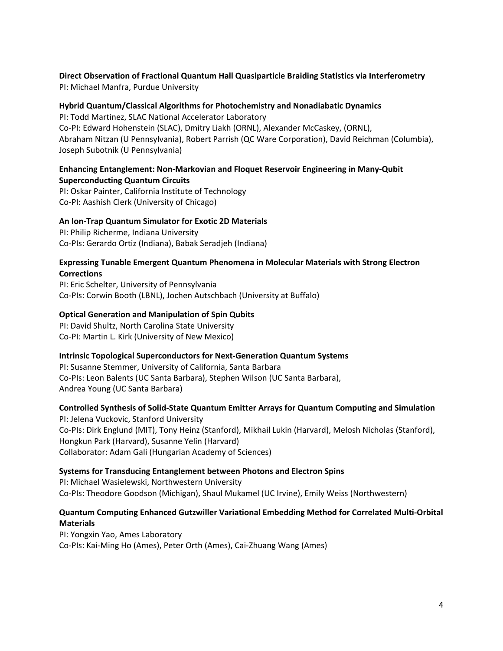**Direct Observation of Fractional Quantum Hall Quasiparticle Braiding Statistics via Interferometry** PI: Michael Manfra, Purdue University

## **Hybrid Quantum/Classical Algorithms for Photochemistry and Nonadiabatic Dynamics**

PI: Todd Martinez, SLAC National Accelerator Laboratory Co-PI: Edward Hohenstein (SLAC), Dmitry Liakh (ORNL), Alexander McCaskey, (ORNL), Abraham Nitzan (U Pennsylvania), Robert Parrish (QC Ware Corporation), David Reichman (Columbia), Joseph Subotnik (U Pennsylvania)

#### **Enhancing Entanglement: Non-Markovian and Floquet Reservoir Engineering in Many-Qubit Superconducting Quantum Circuits**

PI: Oskar Painter, California Institute of Technology Co-PI: Aashish Clerk (University of Chicago)

#### **An Ion-Trap Quantum Simulator for Exotic 2D Materials**

PI: Philip Richerme, Indiana University Co-PIs: Gerardo Ortiz (Indiana), Babak Seradjeh (Indiana)

#### **Expressing Tunable Emergent Quantum Phenomena in Molecular Materials with Strong Electron Corrections**

PI: Eric Schelter, University of Pennsylvania Co-PIs: Corwin Booth (LBNL), Jochen Autschbach (University at Buffalo)

#### **Optical Generation and Manipulation of Spin Qubits**

PI: David Shultz, North Carolina State University Co-PI: Martin L. Kirk (University of New Mexico)

#### **Intrinsic Topological Superconductors for Next-Generation Quantum Systems**

PI: Susanne Stemmer, University of California, Santa Barbara Co-PIs: Leon Balents (UC Santa Barbara), Stephen Wilson (UC Santa Barbara), Andrea Young (UC Santa Barbara)

### **Controlled Synthesis of Solid-State Quantum Emitter Arrays for Quantum Computing and Simulation**

PI: Jelena Vuckovic, Stanford University Co-PIs: Dirk Englund (MIT), Tony Heinz (Stanford), Mikhail Lukin (Harvard), Melosh Nicholas (Stanford), Hongkun Park (Harvard), Susanne Yelin (Harvard) Collaborator: Adam Gali (Hungarian Academy of Sciences)

#### **Systems for Transducing Entanglement between Photons and Electron Spins**

PI: Michael Wasielewski, Northwestern University Co-PIs: Theodore Goodson (Michigan), Shaul Mukamel (UC Irvine), Emily Weiss (Northwestern)

#### **Quantum Computing Enhanced Gutzwiller Variational Embedding Method for Correlated Multi-Orbital Materials**

PI: Yongxin Yao, Ames Laboratory Co-PIs: Kai-Ming Ho (Ames), Peter Orth (Ames), Cai-Zhuang Wang (Ames)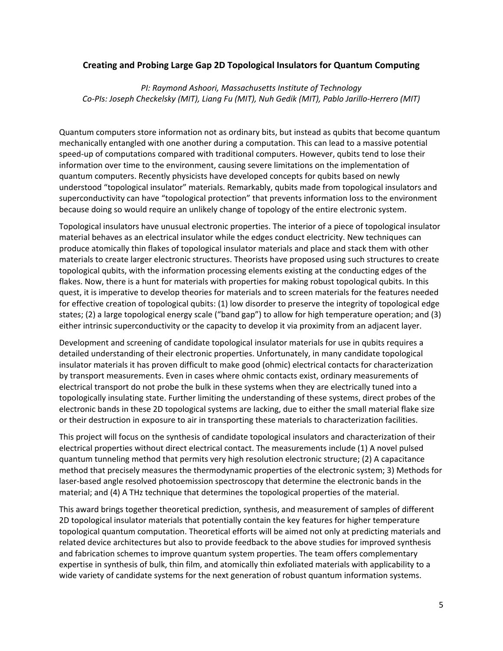#### **Creating and Probing Large Gap 2D Topological Insulators for Quantum Computing**

*PI: Raymond Ashoori, Massachusetts Institute of Technology Co-PIs: Joseph Checkelsky (MIT), Liang Fu (MIT), Nuh Gedik (MIT), Pablo Jarillo-Herrero (MIT)*

Quantum computers store information not as ordinary bits, but instead as qubits that become quantum mechanically entangled with one another during a computation. This can lead to a massive potential speed-up of computations compared with traditional computers. However, qubits tend to lose their information over time to the environment, causing severe limitations on the implementation of quantum computers. Recently physicists have developed concepts for qubits based on newly understood "topological insulator" materials. Remarkably, qubits made from topological insulators and superconductivity can have "topological protection" that prevents information loss to the environment because doing so would require an unlikely change of topology of the entire electronic system.

Topological insulators have unusual electronic properties. The interior of a piece of topological insulator material behaves as an electrical insulator while the edges conduct electricity. New techniques can produce atomically thin flakes of topological insulator materials and place and stack them with other materials to create larger electronic structures. Theorists have proposed using such structures to create topological qubits, with the information processing elements existing at the conducting edges of the flakes. Now, there is a hunt for materials with properties for making robust topological qubits. In this quest, it is imperative to develop theories for materials and to screen materials for the features needed for effective creation of topological qubits: (1) low disorder to preserve the integrity of topological edge states; (2) a large topological energy scale ("band gap") to allow for high temperature operation; and (3) either intrinsic superconductivity or the capacity to develop it via proximity from an adjacent layer.

Development and screening of candidate topological insulator materials for use in qubits requires a detailed understanding of their electronic properties. Unfortunately, in many candidate topological insulator materials it has proven difficult to make good (ohmic) electrical contacts for characterization by transport measurements. Even in cases where ohmic contacts exist, ordinary measurements of electrical transport do not probe the bulk in these systems when they are electrically tuned into a topologically insulating state. Further limiting the understanding of these systems, direct probes of the electronic bands in these 2D topological systems are lacking, due to either the small material flake size or their destruction in exposure to air in transporting these materials to characterization facilities.

This project will focus on the synthesis of candidate topological insulators and characterization of their electrical properties without direct electrical contact. The measurements include (1) A novel pulsed quantum tunneling method that permits very high resolution electronic structure; (2) A capacitance method that precisely measures the thermodynamic properties of the electronic system; 3) Methods for laser-based angle resolved photoemission spectroscopy that determine the electronic bands in the material; and (4) A THz technique that determines the topological properties of the material.

This award brings together theoretical prediction, synthesis, and measurement of samples of different 2D topological insulator materials that potentially contain the key features for higher temperature topological quantum computation. Theoretical efforts will be aimed not only at predicting materials and related device architectures but also to provide feedback to the above studies for improved synthesis and fabrication schemes to improve quantum system properties. The team offers complementary expertise in synthesis of bulk, thin film, and atomically thin exfoliated materials with applicability to a wide variety of candidate systems for the next generation of robust quantum information systems.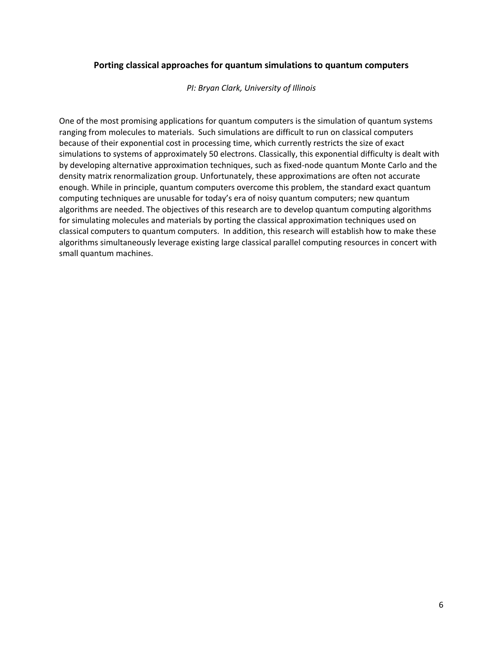#### **Porting classical approaches for quantum simulations to quantum computers**

*PI: Bryan Clark, University of Illinois*

One of the most promising applications for quantum computers is the simulation of quantum systems ranging from molecules to materials. Such simulations are difficult to run on classical computers because of their exponential cost in processing time, which currently restricts the size of exact simulations to systems of approximately 50 electrons. Classically, this exponential difficulty is dealt with by developing alternative approximation techniques, such as fixed-node quantum Monte Carlo and the density matrix renormalization group. Unfortunately, these approximations are often not accurate enough. While in principle, quantum computers overcome this problem, the standard exact quantum computing techniques are unusable for today's era of noisy quantum computers; new quantum algorithms are needed. The objectives of this research are to develop quantum computing algorithms for simulating molecules and materials by porting the classical approximation techniques used on classical computers to quantum computers. In addition, this research will establish how to make these algorithms simultaneously leverage existing large classical parallel computing resources in concert with small quantum machines.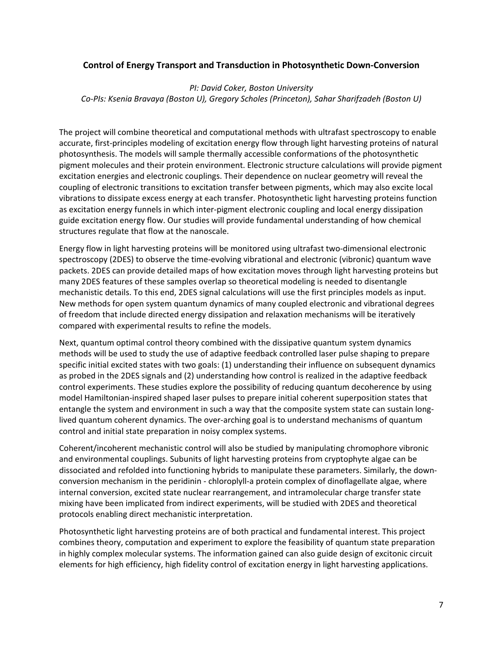#### **Control of Energy Transport and Transduction in Photosynthetic Down-Conversion**

*PI: David Coker, Boston University Co-PIs: Ksenia Bravaya (Boston U), Gregory Scholes (Princeton), Sahar Sharifzadeh (Boston U)*

The project will combine theoretical and computational methods with ultrafast spectroscopy to enable accurate, first-principles modeling of excitation energy flow through light harvesting proteins of natural photosynthesis. The models will sample thermally accessible conformations of the photosynthetic pigment molecules and their protein environment. Electronic structure calculations will provide pigment excitation energies and electronic couplings. Their dependence on nuclear geometry will reveal the coupling of electronic transitions to excitation transfer between pigments, which may also excite local vibrations to dissipate excess energy at each transfer. Photosynthetic light harvesting proteins function as excitation energy funnels in which inter-pigment electronic coupling and local energy dissipation guide excitation energy flow. Our studies will provide fundamental understanding of how chemical structures regulate that flow at the nanoscale.

Energy flow in light harvesting proteins will be monitored using ultrafast two-dimensional electronic spectroscopy (2DES) to observe the time-evolving vibrational and electronic (vibronic) quantum wave packets. 2DES can provide detailed maps of how excitation moves through light harvesting proteins but many 2DES features of these samples overlap so theoretical modeling is needed to disentangle mechanistic details. To this end, 2DES signal calculations will use the first principles models as input. New methods for open system quantum dynamics of many coupled electronic and vibrational degrees of freedom that include directed energy dissipation and relaxation mechanisms will be iteratively compared with experimental results to refine the models.

Next, quantum optimal control theory combined with the dissipative quantum system dynamics methods will be used to study the use of adaptive feedback controlled laser pulse shaping to prepare specific initial excited states with two goals: (1) understanding their influence on subsequent dynamics as probed in the 2DES signals and (2) understanding how control is realized in the adaptive feedback control experiments. These studies explore the possibility of reducing quantum decoherence by using model Hamiltonian-inspired shaped laser pulses to prepare initial coherent superposition states that entangle the system and environment in such a way that the composite system state can sustain longlived quantum coherent dynamics. The over-arching goal is to understand mechanisms of quantum control and initial state preparation in noisy complex systems.

Coherent/incoherent mechanistic control will also be studied by manipulating chromophore vibronic and environmental couplings. Subunits of light harvesting proteins from cryptophyte algae can be dissociated and refolded into functioning hybrids to manipulate these parameters. Similarly, the downconversion mechanism in the peridinin - chloroplyll-a protein complex of dinoflagellate algae, where internal conversion, excited state nuclear rearrangement, and intramolecular charge transfer state mixing have been implicated from indirect experiments, will be studied with 2DES and theoretical protocols enabling direct mechanistic interpretation.

Photosynthetic light harvesting proteins are of both practical and fundamental interest. This project combines theory, computation and experiment to explore the feasibility of quantum state preparation in highly complex molecular systems. The information gained can also guide design of excitonic circuit elements for high efficiency, high fidelity control of excitation energy in light harvesting applications.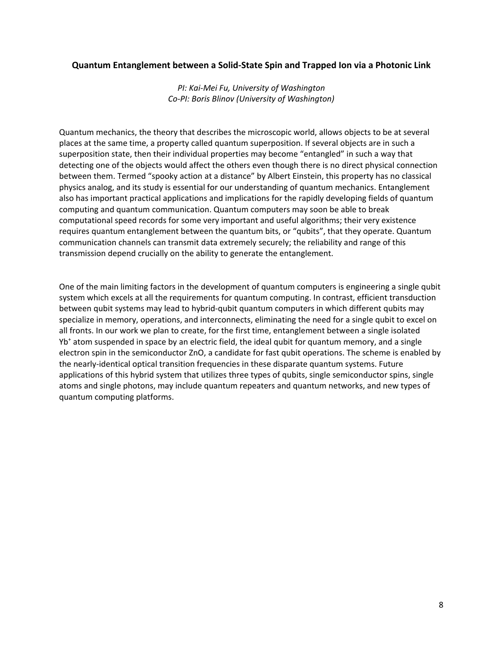#### **Quantum Entanglement between a Solid-State Spin and Trapped Ion via a Photonic Link**

*PI: Kai-Mei Fu, University of Washington Co-PI: Boris Blinov (University of Washington)*

Quantum mechanics, the theory that describes the microscopic world, allows objects to be at several places at the same time, a property called quantum superposition. If several objects are in such a superposition state, then their individual properties may become "entangled" in such a way that detecting one of the objects would affect the others even though there is no direct physical connection between them. Termed "spooky action at a distance" by Albert Einstein, this property has no classical physics analog, and its study is essential for our understanding of quantum mechanics. Entanglement also has important practical applications and implications for the rapidly developing fields of quantum computing and quantum communication. Quantum computers may soon be able to break computational speed records for some very important and useful algorithms; their very existence requires quantum entanglement between the quantum bits, or "qubits", that they operate. Quantum communication channels can transmit data extremely securely; the reliability and range of this transmission depend crucially on the ability to generate the entanglement.

One of the main limiting factors in the development of quantum computers is engineering a single qubit system which excels at all the requirements for quantum computing. In contrast, efficient transduction between qubit systems may lead to hybrid-qubit quantum computers in which different qubits may specialize in memory, operations, and interconnects, eliminating the need for a single qubit to excel on all fronts. In our work we plan to create, for the first time, entanglement between a single isolated Yb+ atom suspended in space by an electric field, the ideal qubit for quantum memory, and a single electron spin in the semiconductor ZnO, a candidate for fast qubit operations. The scheme is enabled by the nearly-identical optical transition frequencies in these disparate quantum systems. Future applications of this hybrid system that utilizes three types of qubits, single semiconductor spins, single atoms and single photons, may include quantum repeaters and quantum networks, and new types of quantum computing platforms.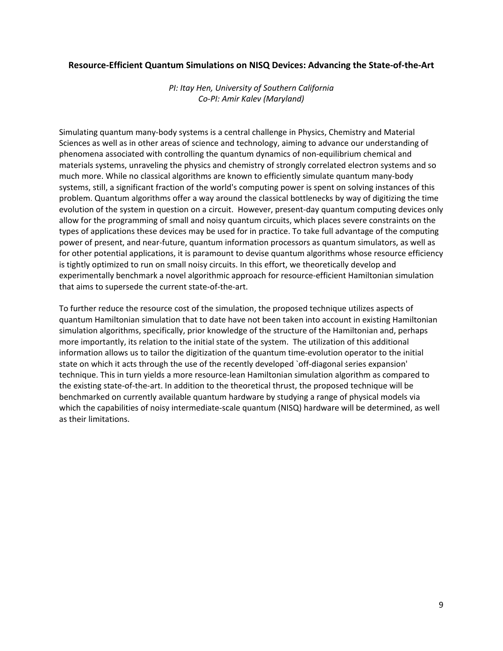#### **Resource-Efficient Quantum Simulations on NISQ Devices: Advancing the State-of-the-Art**

*PI: Itay Hen, University of Southern California Co-PI: Amir Kalev (Maryland)*

Simulating quantum many-body systems is a central challenge in Physics, Chemistry and Material Sciences as well as in other areas of science and technology, aiming to advance our understanding of phenomena associated with controlling the quantum dynamics of non-equilibrium chemical and materials systems, unraveling the physics and chemistry of strongly correlated electron systems and so much more. While no classical algorithms are known to efficiently simulate quantum many-body systems, still, a significant fraction of the world's computing power is spent on solving instances of this problem. Quantum algorithms offer a way around the classical bottlenecks by way of digitizing the time evolution of the system in question on a circuit. However, present-day quantum computing devices only allow for the programming of small and noisy quantum circuits, which places severe constraints on the types of applications these devices may be used for in practice. To take full advantage of the computing power of present, and near-future, quantum information processors as quantum simulators, as well as for other potential applications, it is paramount to devise quantum algorithms whose resource efficiency is tightly optimized to run on small noisy circuits. In this effort, we theoretically develop and experimentally benchmark a novel algorithmic approach for resource-efficient Hamiltonian simulation that aims to supersede the current state-of-the-art.

To further reduce the resource cost of the simulation, the proposed technique utilizes aspects of quantum Hamiltonian simulation that to date have not been taken into account in existing Hamiltonian simulation algorithms, specifically, prior knowledge of the structure of the Hamiltonian and, perhaps more importantly, its relation to the initial state of the system. The utilization of this additional information allows us to tailor the digitization of the quantum time-evolution operator to the initial state on which it acts through the use of the recently developed `off-diagonal series expansion' technique. This in turn yields a more resource-lean Hamiltonian simulation algorithm as compared to the existing state-of-the-art. In addition to the theoretical thrust, the proposed technique will be benchmarked on currently available quantum hardware by studying a range of physical models via which the capabilities of noisy intermediate-scale quantum (NISQ) hardware will be determined, as well as their limitations.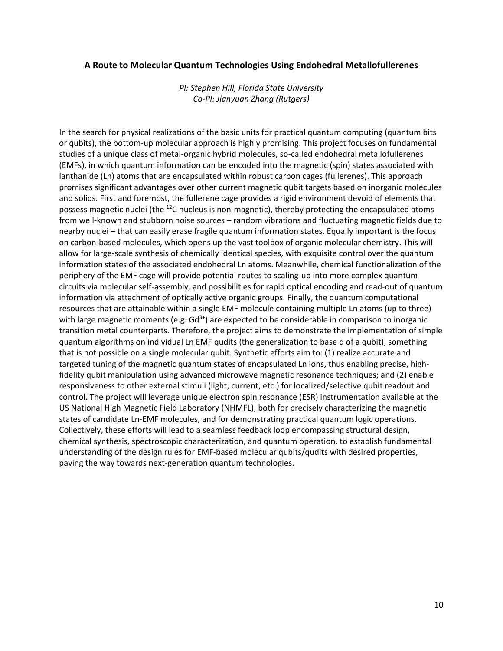#### **A Route to Molecular Quantum Technologies Using Endohedral Metallofullerenes**

*PI: Stephen Hill, Florida State University Co-PI: Jianyuan Zhang (Rutgers)*

In the search for physical realizations of the basic units for practical quantum computing (quantum bits or qubits), the bottom-up molecular approach is highly promising. This project focuses on fundamental studies of a unique class of metal-organic hybrid molecules, so-called endohedral metallofullerenes (EMFs), in which quantum information can be encoded into the magnetic (spin) states associated with lanthanide (Ln) atoms that are encapsulated within robust carbon cages (fullerenes). This approach promises significant advantages over other current magnetic qubit targets based on inorganic molecules and solids. First and foremost, the fullerene cage provides a rigid environment devoid of elements that possess magnetic nuclei (the  $^{12}$ C nucleus is non-magnetic), thereby protecting the encapsulated atoms from well-known and stubborn noise sources – random vibrations and fluctuating magnetic fields due to nearby nuclei – that can easily erase fragile quantum information states. Equally important is the focus on carbon-based molecules, which opens up the vast toolbox of organic molecular chemistry. This will allow for large-scale synthesis of chemically identical species, with exquisite control over the quantum information states of the associated endohedral Ln atoms. Meanwhile, chemical functionalization of the periphery of the EMF cage will provide potential routes to scaling-up into more complex quantum circuits via molecular self-assembly, and possibilities for rapid optical encoding and read-out of quantum information via attachment of optically active organic groups. Finally, the quantum computational resources that are attainable within a single EMF molecule containing multiple Ln atoms (up to three) with large magnetic moments (e.g.  $Gd^{3+}$ ) are expected to be considerable in comparison to inorganic transition metal counterparts. Therefore, the project aims to demonstrate the implementation of simple quantum algorithms on individual Ln EMF qudits (the generalization to base d of a qubit), something that is not possible on a single molecular qubit. Synthetic efforts aim to: (1) realize accurate and targeted tuning of the magnetic quantum states of encapsulated Ln ions, thus enabling precise, highfidelity qubit manipulation using advanced microwave magnetic resonance techniques; and (2) enable responsiveness to other external stimuli (light, current, etc.) for localized/selective qubit readout and control. The project will leverage unique electron spin resonance (ESR) instrumentation available at the US National High Magnetic Field Laboratory (NHMFL), both for precisely characterizing the magnetic states of candidate Ln-EMF molecules, and for demonstrating practical quantum logic operations. Collectively, these efforts will lead to a seamless feedback loop encompassing structural design, chemical synthesis, spectroscopic characterization, and quantum operation, to establish fundamental understanding of the design rules for EMF-based molecular qubits/qudits with desired properties, paving the way towards next-generation quantum technologies.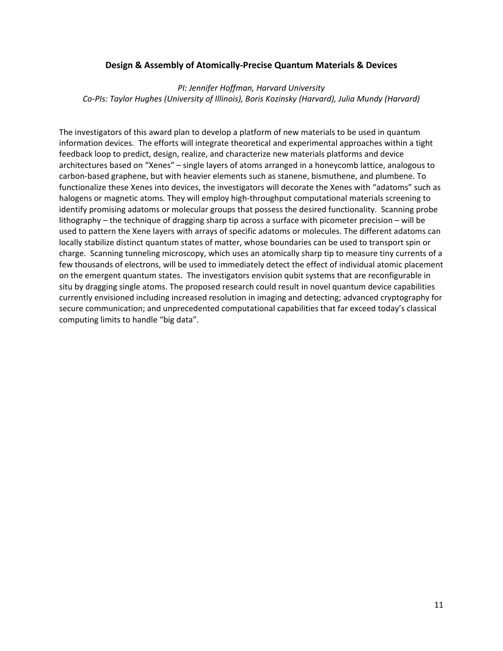#### **Design & Assembly of Atomically-Precise Quantum Materials & Devices**

#### *PI: Jennifer Hoffman, Harvard University Co-PIs: Taylor Hughes (University of Illinois), Boris Kozinsky (Harvard), Julia Mundy (Harvard)*

The investigators of this award plan to develop a platform of new materials to be used in quantum information devices. The efforts will integrate theoretical and experimental approaches within a tight feedback loop to predict, design, realize, and characterize new materials platforms and device architectures based on "Xenes" – single layers of atoms arranged in a honeycomb lattice, analogous to carbon-based graphene, but with heavier elements such as stanene, bismuthene, and plumbene. To functionalize these Xenes into devices, the investigators will decorate the Xenes with "adatoms" such as halogens or magnetic atoms. They will employ high-throughput computational materials screening to identify promising adatoms or molecular groups that possess the desired functionality. Scanning probe lithography – the technique of dragging sharp tip across a surface with picometer precision – will be used to pattern the Xene layers with arrays of specific adatoms or molecules. The different adatoms can locally stabilize distinct quantum states of matter, whose boundaries can be used to transport spin or charge. Scanning tunneling microscopy, which uses an atomically sharp tip to measure tiny currents of a few thousands of electrons, will be used to immediately detect the effect of individual atomic placement on the emergent quantum states. The investigators envision qubit systems that are reconfigurable in situ by dragging single atoms. The proposed research could result in novel quantum device capabilities currently envisioned including increased resolution in imaging and detecting; advanced cryptography for secure communication; and unprecedented computational capabilities that far exceed today's classical computing limits to handle "big data".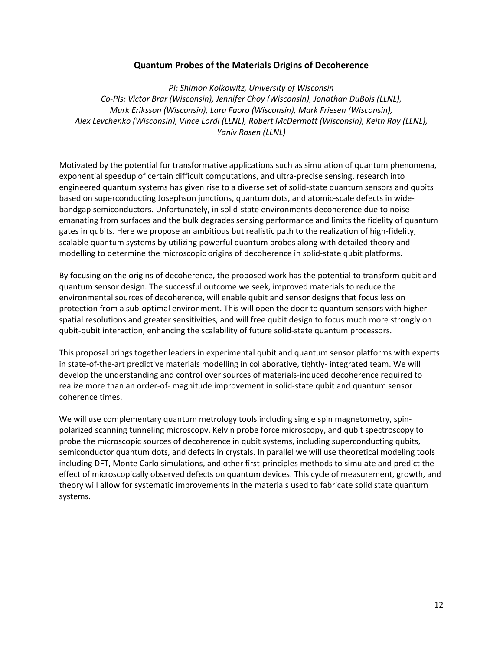#### **Quantum Probes of the Materials Origins of Decoherence**

*PI: Shimon Kolkowitz, University of Wisconsin Co-PIs: Victor Brar (Wisconsin), Jennifer Choy (Wisconsin), Jonathan DuBois (LLNL), Mark Eriksson (Wisconsin), Lara Faoro (Wisconsin), Mark Friesen (Wisconsin), Alex Levchenko (Wisconsin), Vince Lordi (LLNL), Robert McDermott (Wisconsin), Keith Ray (LLNL), Yaniv Rosen (LLNL)*

Motivated by the potential for transformative applications such as simulation of quantum phenomena, exponential speedup of certain difficult computations, and ultra-precise sensing, research into engineered quantum systems has given rise to a diverse set of solid-state quantum sensors and qubits based on superconducting Josephson junctions, quantum dots, and atomic-scale defects in widebandgap semiconductors. Unfortunately, in solid-state environments decoherence due to noise emanating from surfaces and the bulk degrades sensing performance and limits the fidelity of quantum gates in qubits. Here we propose an ambitious but realistic path to the realization of high-fidelity, scalable quantum systems by utilizing powerful quantum probes along with detailed theory and modelling to determine the microscopic origins of decoherence in solid-state qubit platforms.

By focusing on the origins of decoherence, the proposed work has the potential to transform qubit and quantum sensor design. The successful outcome we seek, improved materials to reduce the environmental sources of decoherence, will enable qubit and sensor designs that focus less on protection from a sub-optimal environment. This will open the door to quantum sensors with higher spatial resolutions and greater sensitivities, and will free qubit design to focus much more strongly on qubit-qubit interaction, enhancing the scalability of future solid-state quantum processors.

This proposal brings together leaders in experimental qubit and quantum sensor platforms with experts in state-of-the-art predictive materials modelling in collaborative, tightly- integrated team. We will develop the understanding and control over sources of materials-induced decoherence required to realize more than an order-of- magnitude improvement in solid-state qubit and quantum sensor coherence times.

We will use complementary quantum metrology tools including single spin magnetometry, spinpolarized scanning tunneling microscopy, Kelvin probe force microscopy, and qubit spectroscopy to probe the microscopic sources of decoherence in qubit systems, including superconducting qubits, semiconductor quantum dots, and defects in crystals. In parallel we will use theoretical modeling tools including DFT, Monte Carlo simulations, and other first-principles methods to simulate and predict the effect of microscopically observed defects on quantum devices. This cycle of measurement, growth, and theory will allow for systematic improvements in the materials used to fabricate solid state quantum systems.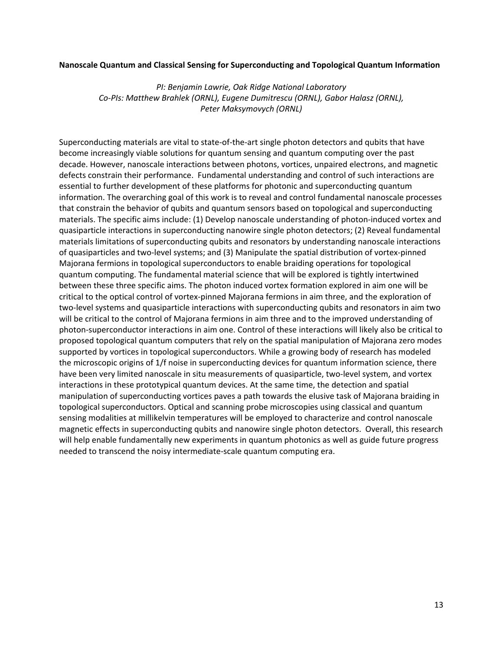#### **Nanoscale Quantum and Classical Sensing for Superconducting and Topological Quantum Information**

*PI: Benjamin Lawrie, Oak Ridge National Laboratory Co-PIs: Matthew Brahlek (ORNL), Eugene Dumitrescu (ORNL), Gabor Halasz (ORNL), Peter Maksymovych (ORNL)*

Superconducting materials are vital to state-of-the-art single photon detectors and qubits that have become increasingly viable solutions for quantum sensing and quantum computing over the past decade. However, nanoscale interactions between photons, vortices, unpaired electrons, and magnetic defects constrain their performance. Fundamental understanding and control of such interactions are essential to further development of these platforms for photonic and superconducting quantum information. The overarching goal of this work is to reveal and control fundamental nanoscale processes that constrain the behavior of qubits and quantum sensors based on topological and superconducting materials. The specific aims include: (1) Develop nanoscale understanding of photon-induced vortex and quasiparticle interactions in superconducting nanowire single photon detectors; (2) Reveal fundamental materials limitations of superconducting qubits and resonators by understanding nanoscale interactions of quasiparticles and two-level systems; and (3) Manipulate the spatial distribution of vortex-pinned Majorana fermions in topological superconductors to enable braiding operations for topological quantum computing. The fundamental material science that will be explored is tightly intertwined between these three specific aims. The photon induced vortex formation explored in aim one will be critical to the optical control of vortex-pinned Majorana fermions in aim three, and the exploration of two-level systems and quasiparticle interactions with superconducting qubits and resonators in aim two will be critical to the control of Majorana fermions in aim three and to the improved understanding of photon-superconductor interactions in aim one. Control of these interactions will likely also be critical to proposed topological quantum computers that rely on the spatial manipulation of Majorana zero modes supported by vortices in topological superconductors. While a growing body of research has modeled the microscopic origins of 1/f noise in superconducting devices for quantum information science, there have been very limited nanoscale in situ measurements of quasiparticle, two-level system, and vortex interactions in these prototypical quantum devices. At the same time, the detection and spatial manipulation of superconducting vortices paves a path towards the elusive task of Majorana braiding in topological superconductors. Optical and scanning probe microscopies using classical and quantum sensing modalities at millikelvin temperatures will be employed to characterize and control nanoscale magnetic effects in superconducting qubits and nanowire single photon detectors. Overall, this research will help enable fundamentally new experiments in quantum photonics as well as guide future progress needed to transcend the noisy intermediate-scale quantum computing era.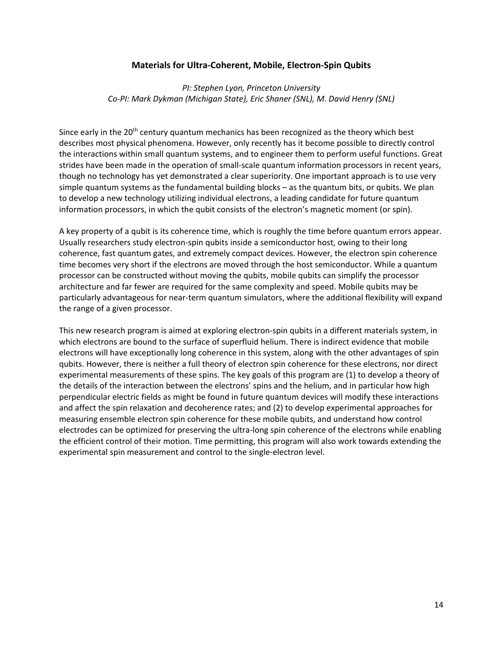#### **Materials for Ultra-Coherent, Mobile, Electron-Spin Qubits**

#### *PI: Stephen Lyon, Princeton University Co-PI: Mark Dykman (Michigan State), Eric Shaner (SNL), M. David Henry (SNL)*

Since early in the  $20<sup>th</sup>$  century quantum mechanics has been recognized as the theory which best describes most physical phenomena. However, only recently has it become possible to directly control the interactions within small quantum systems, and to engineer them to perform useful functions. Great strides have been made in the operation of small-scale quantum information processors in recent years, though no technology has yet demonstrated a clear superiority. One important approach is to use very simple quantum systems as the fundamental building blocks – as the quantum bits, or qubits. We plan to develop a new technology utilizing individual electrons, a leading candidate for future quantum information processors, in which the qubit consists of the electron's magnetic moment (or spin).

A key property of a qubit is its coherence time, which is roughly the time before quantum errors appear. Usually researchers study electron-spin qubits inside a semiconductor host, owing to their long coherence, fast quantum gates, and extremely compact devices. However, the electron spin coherence time becomes very short if the electrons are moved through the host semiconductor. While a quantum processor can be constructed without moving the qubits, mobile qubits can simplify the processor architecture and far fewer are required for the same complexity and speed. Mobile qubits may be particularly advantageous for near-term quantum simulators, where the additional flexibility will expand the range of a given processor.

This new research program is aimed at exploring electron-spin qubits in a different materials system, in which electrons are bound to the surface of superfluid helium. There is indirect evidence that mobile electrons will have exceptionally long coherence in this system, along with the other advantages of spin qubits. However, there is neither a full theory of electron spin coherence for these electrons, nor direct experimental measurements of these spins. The key goals of this program are (1) to develop a theory of the details of the interaction between the electrons' spins and the helium, and in particular how high perpendicular electric fields as might be found in future quantum devices will modify these interactions and affect the spin relaxation and decoherence rates; and (2) to develop experimental approaches for measuring ensemble electron spin coherence for these mobile qubits, and understand how control electrodes can be optimized for preserving the ultra-long spin coherence of the electrons while enabling the efficient control of their motion. Time permitting, this program will also work towards extending the experimental spin measurement and control to the single-electron level.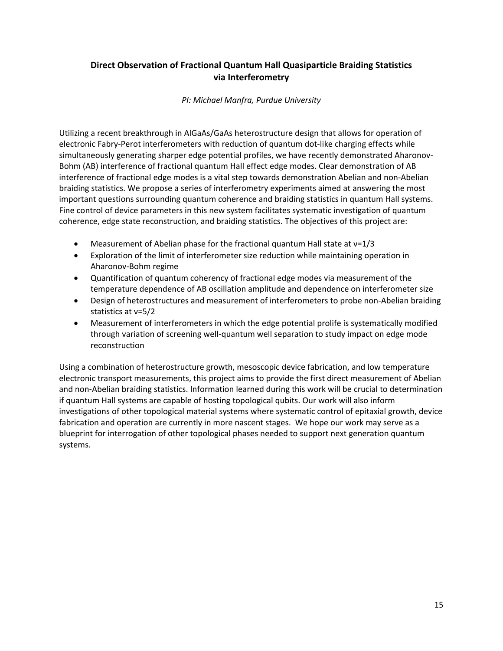### **Direct Observation of Fractional Quantum Hall Quasiparticle Braiding Statistics via Interferometry**

*PI: Michael Manfra, Purdue University*

Utilizing a recent breakthrough in AlGaAs/GaAs heterostructure design that allows for operation of electronic Fabry-Perot interferometers with reduction of quantum dot-like charging effects while simultaneously generating sharper edge potential profiles, we have recently demonstrated Aharonov-Bohm (AB) interference of fractional quantum Hall effect edge modes. Clear demonstration of AB interference of fractional edge modes is a vital step towards demonstration Abelian and non-Abelian braiding statistics. We propose a series of interferometry experiments aimed at answering the most important questions surrounding quantum coherence and braiding statistics in quantum Hall systems. Fine control of device parameters in this new system facilitates systematic investigation of quantum coherence, edge state reconstruction, and braiding statistics. The objectives of this project are:

- Measurement of Abelian phase for the fractional quantum Hall state at ν=1/3
- Exploration of the limit of interferometer size reduction while maintaining operation in Aharonov-Bohm regime
- Quantification of quantum coherency of fractional edge modes via measurement of the temperature dependence of AB oscillation amplitude and dependence on interferometer size
- Design of heterostructures and measurement of interferometers to probe non-Abelian braiding statistics at ν=5/2
- Measurement of interferometers in which the edge potential prolife is systematically modified through variation of screening well-quantum well separation to study impact on edge mode reconstruction

Using a combination of heterostructure growth, mesoscopic device fabrication, and low temperature electronic transport measurements, this project aims to provide the first direct measurement of Abelian and non-Abelian braiding statistics. Information learned during this work will be crucial to determination if quantum Hall systems are capable of hosting topological qubits. Our work will also inform investigations of other topological material systems where systematic control of epitaxial growth, device fabrication and operation are currently in more nascent stages. We hope our work may serve as a blueprint for interrogation of other topological phases needed to support next generation quantum systems.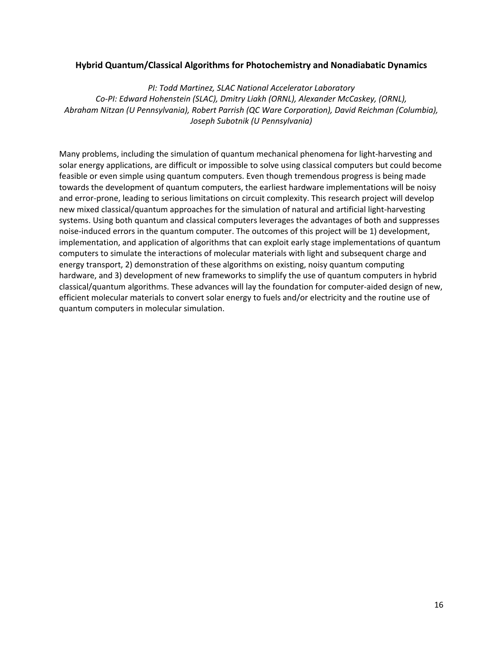#### **Hybrid Quantum/Classical Algorithms for Photochemistry and Nonadiabatic Dynamics**

*PI: Todd Martinez, SLAC National Accelerator Laboratory Co-PI: Edward Hohenstein (SLAC), Dmitry Liakh (ORNL), Alexander McCaskey, (ORNL), Abraham Nitzan (U Pennsylvania), Robert Parrish (QC Ware Corporation), David Reichman (Columbia), Joseph Subotnik (U Pennsylvania)*

Many problems, including the simulation of quantum mechanical phenomena for light-harvesting and solar energy applications, are difficult or impossible to solve using classical computers but could become feasible or even simple using quantum computers. Even though tremendous progress is being made towards the development of quantum computers, the earliest hardware implementations will be noisy and error-prone, leading to serious limitations on circuit complexity. This research project will develop new mixed classical/quantum approaches for the simulation of natural and artificial light-harvesting systems. Using both quantum and classical computers leverages the advantages of both and suppresses noise-induced errors in the quantum computer. The outcomes of this project will be 1) development, implementation, and application of algorithms that can exploit early stage implementations of quantum computers to simulate the interactions of molecular materials with light and subsequent charge and energy transport, 2) demonstration of these algorithms on existing, noisy quantum computing hardware, and 3) development of new frameworks to simplify the use of quantum computers in hybrid classical/quantum algorithms. These advances will lay the foundation for computer-aided design of new, efficient molecular materials to convert solar energy to fuels and/or electricity and the routine use of quantum computers in molecular simulation.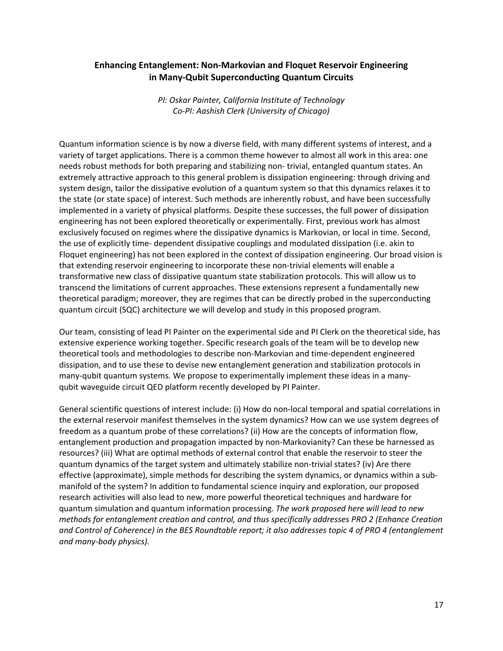#### **Enhancing Entanglement: Non-Markovian and Floquet Reservoir Engineering in Many-Qubit Superconducting Quantum Circuits**

*PI: Oskar Painter, California Institute of Technology Co-PI: Aashish Clerk (University of Chicago)*

Quantum information science is by now a diverse field, with many different systems of interest, and a variety of target applications. There is a common theme however to almost all work in this area: one needs robust methods for both preparing and stabilizing non- trivial, entangled quantum states. An extremely attractive approach to this general problem is dissipation engineering: through driving and system design, tailor the dissipative evolution of a quantum system so that this dynamics relaxes it to the state (or state space) of interest. Such methods are inherently robust, and have been successfully implemented in a variety of physical platforms. Despite these successes, the full power of dissipation engineering has not been explored theoretically or experimentally. First, previous work has almost exclusively focused on regimes where the dissipative dynamics is Markovian, or local in time. Second, the use of explicitly time- dependent dissipative couplings and modulated dissipation (i.e. akin to Floquet engineering) has not been explored in the context of dissipation engineering. Our broad vision is that extending reservoir engineering to incorporate these non-trivial elements will enable a transformative new class of dissipative quantum state stabilization protocols. This will allow us to transcend the limitations of current approaches. These extensions represent a fundamentally new theoretical paradigm; moreover, they are regimes that can be directly probed in the superconducting quantum circuit (SQC) architecture we will develop and study in this proposed program.

Our team, consisting of lead PI Painter on the experimental side and PI Clerk on the theoretical side, has extensive experience working together. Specific research goals of the team will be to develop new theoretical tools and methodologies to describe non-Markovian and time-dependent engineered dissipation, and to use these to devise new entanglement generation and stabilization protocols in many-qubit quantum systems. We propose to experimentally implement these ideas in a manyqubit waveguide circuit QED platform recently developed by PI Painter.

General scientific questions of interest include: (i) How do non-local temporal and spatial correlations in the external reservoir manifest themselves in the system dynamics? How can we use system degrees of freedom as a quantum probe of these correlations? (ii) How are the concepts of information flow, entanglement production and propagation impacted by non-Markovianity? Can these be harnessed as resources? (iii) What are optimal methods of external control that enable the reservoir to steer the quantum dynamics of the target system and ultimately stabilize non-trivial states? (iv) Are there effective (approximate), simple methods for describing the system dynamics, or dynamics within a submanifold of the system? In addition to fundamental science inquiry and exploration, our proposed research activities will also lead to new, more powerful theoretical techniques and hardware for quantum simulation and quantum information processing. *The work proposed here will lead to new methods for entanglement creation and control, and thus specifically addresses PRO 2 (Enhance Creation and Control of Coherence) in the BES Roundtable report; it also addresses topic 4 of PRO 4 (entanglement and many-body physics).*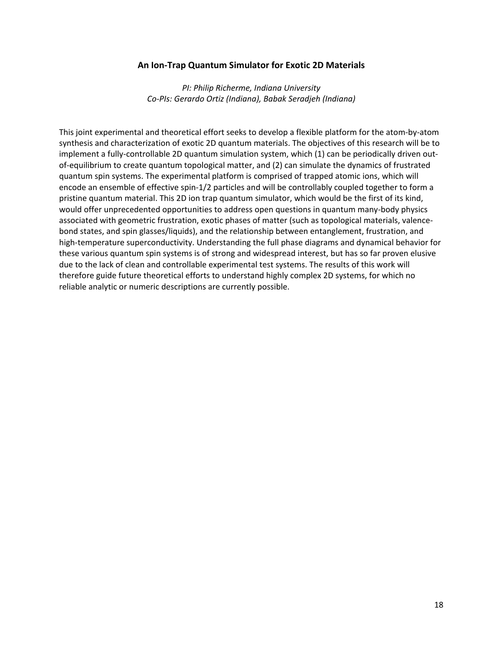#### **An Ion-Trap Quantum Simulator for Exotic 2D Materials**

*PI: Philip Richerme, Indiana University Co-PIs: Gerardo Ortiz (Indiana), Babak Seradjeh (Indiana)*

This joint experimental and theoretical effort seeks to develop a flexible platform for the atom-by-atom synthesis and characterization of exotic 2D quantum materials. The objectives of this research will be to implement a fully-controllable 2D quantum simulation system, which (1) can be periodically driven outof-equilibrium to create quantum topological matter, and (2) can simulate the dynamics of frustrated quantum spin systems. The experimental platform is comprised of trapped atomic ions, which will encode an ensemble of effective spin-1/2 particles and will be controllably coupled together to form a pristine quantum material. This 2D ion trap quantum simulator, which would be the first of its kind, would offer unprecedented opportunities to address open questions in quantum many-body physics associated with geometric frustration, exotic phases of matter (such as topological materials, valencebond states, and spin glasses/liquids), and the relationship between entanglement, frustration, and high-temperature superconductivity. Understanding the full phase diagrams and dynamical behavior for these various quantum spin systems is of strong and widespread interest, but has so far proven elusive due to the lack of clean and controllable experimental test systems. The results of this work will therefore guide future theoretical efforts to understand highly complex 2D systems, for which no reliable analytic or numeric descriptions are currently possible.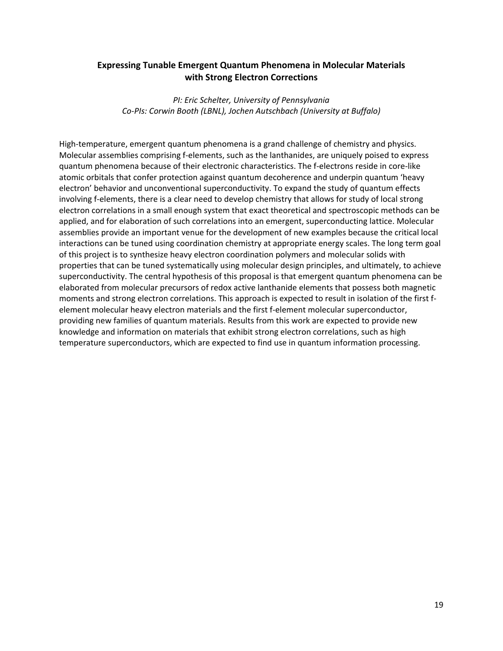#### **Expressing Tunable Emergent Quantum Phenomena in Molecular Materials with Strong Electron Corrections**

*PI: Eric Schelter, University of Pennsylvania Co-PIs: Corwin Booth (LBNL), Jochen Autschbach (University at Buffalo)*

High-temperature, emergent quantum phenomena is a grand challenge of chemistry and physics. Molecular assemblies comprising f-elements, such as the lanthanides, are uniquely poised to express quantum phenomena because of their electronic characteristics. The f-electrons reside in core-like atomic orbitals that confer protection against quantum decoherence and underpin quantum 'heavy electron' behavior and unconventional superconductivity. To expand the study of quantum effects involving f-elements, there is a clear need to develop chemistry that allows for study of local strong electron correlations in a small enough system that exact theoretical and spectroscopic methods can be applied, and for elaboration of such correlations into an emergent, superconducting lattice. Molecular assemblies provide an important venue for the development of new examples because the critical local interactions can be tuned using coordination chemistry at appropriate energy scales. The long term goal of this project is to synthesize heavy electron coordination polymers and molecular solids with properties that can be tuned systematically using molecular design principles, and ultimately, to achieve superconductivity. The central hypothesis of this proposal is that emergent quantum phenomena can be elaborated from molecular precursors of redox active lanthanide elements that possess both magnetic moments and strong electron correlations. This approach is expected to result in isolation of the first felement molecular heavy electron materials and the first f-element molecular superconductor, providing new families of quantum materials. Results from this work are expected to provide new knowledge and information on materials that exhibit strong electron correlations, such as high temperature superconductors, which are expected to find use in quantum information processing.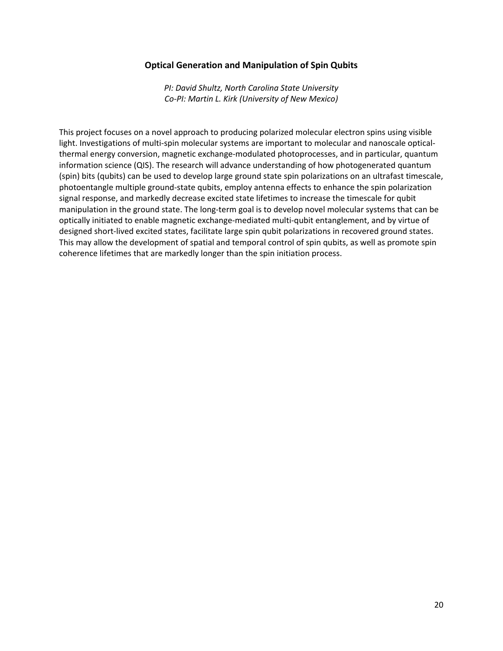#### **Optical Generation and Manipulation of Spin Qubits**

*PI: David Shultz, North Carolina State University Co-PI: Martin L. Kirk (University of New Mexico)*

This project focuses on a novel approach to producing polarized molecular electron spins using visible light. Investigations of multi-spin molecular systems are important to molecular and nanoscale opticalthermal energy conversion, magnetic exchange-modulated photoprocesses, and in particular, quantum information science (QIS). The research will advance understanding of how photogenerated quantum (spin) bits (qubits) can be used to develop large ground state spin polarizations on an ultrafast timescale, photoentangle multiple ground-state qubits, employ antenna effects to enhance the spin polarization signal response, and markedly decrease excited state lifetimes to increase the timescale for qubit manipulation in the ground state. The long-term goal is to develop novel molecular systems that can be optically initiated to enable magnetic exchange-mediated multi-qubit entanglement, and by virtue of designed short-lived excited states, facilitate large spin qubit polarizations in recovered ground states. This may allow the development of spatial and temporal control of spin qubits, as well as promote spin coherence lifetimes that are markedly longer than the spin initiation process.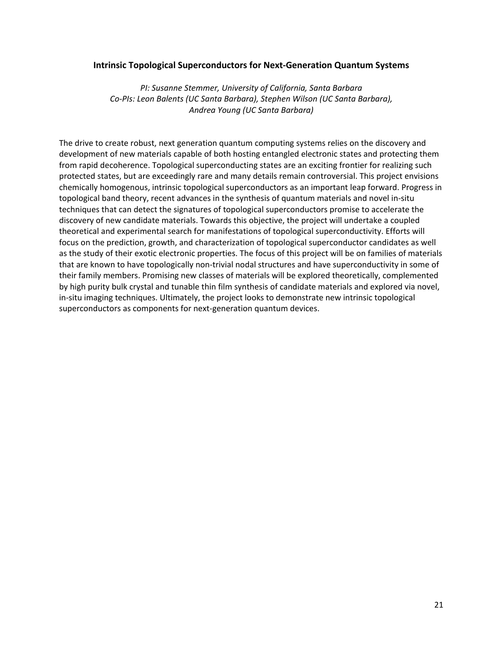#### **Intrinsic Topological Superconductors for Next-Generation Quantum Systems**

*PI: Susanne Stemmer, University of California, Santa Barbara Co-PIs: Leon Balents (UC Santa Barbara), Stephen Wilson (UC Santa Barbara), Andrea Young (UC Santa Barbara)*

The drive to create robust, next generation quantum computing systems relies on the discovery and development of new materials capable of both hosting entangled electronic states and protecting them from rapid decoherence. Topological superconducting states are an exciting frontier for realizing such protected states, but are exceedingly rare and many details remain controversial. This project envisions chemically homogenous, intrinsic topological superconductors as an important leap forward. Progress in topological band theory, recent advances in the synthesis of quantum materials and novel in-situ techniques that can detect the signatures of topological superconductors promise to accelerate the discovery of new candidate materials. Towards this objective, the project will undertake a coupled theoretical and experimental search for manifestations of topological superconductivity. Efforts will focus on the prediction, growth, and characterization of topological superconductor candidates as well as the study of their exotic electronic properties. The focus of this project will be on families of materials that are known to have topologically non-trivial nodal structures and have superconductivity in some of their family members. Promising new classes of materials will be explored theoretically, complemented by high purity bulk crystal and tunable thin film synthesis of candidate materials and explored via novel, in-situ imaging techniques. Ultimately, the project looks to demonstrate new intrinsic topological superconductors as components for next-generation quantum devices.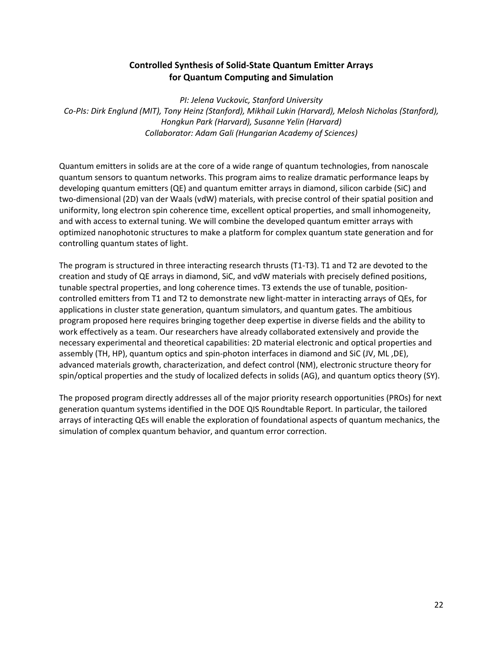#### **Controlled Synthesis of Solid-State Quantum Emitter Arrays for Quantum Computing and Simulation**

*PI: Jelena Vuckovic, Stanford University Co-PIs: Dirk Englund (MIT), Tony Heinz (Stanford), Mikhail Lukin (Harvard), Melosh Nicholas (Stanford), Hongkun Park (Harvard), Susanne Yelin (Harvard) Collaborator: Adam Gali (Hungarian Academy of Sciences)*

Quantum emitters in solids are at the core of a wide range of quantum technologies, from nanoscale quantum sensors to quantum networks. This program aims to realize dramatic performance leaps by developing quantum emitters (QE) and quantum emitter arrays in diamond, silicon carbide (SiC) and two-dimensional (2D) van der Waals (vdW) materials, with precise control of their spatial position and uniformity, long electron spin coherence time, excellent optical properties, and small inhomogeneity, and with access to external tuning. We will combine the developed quantum emitter arrays with optimized nanophotonic structures to make a platform for complex quantum state generation and for controlling quantum states of light.

The program is structured in three interacting research thrusts (T1-T3). T1 and T2 are devoted to the creation and study of QE arrays in diamond, SiC, and vdW materials with precisely defined positions, tunable spectral properties, and long coherence times. T3 extends the use of tunable, positioncontrolled emitters from T1 and T2 to demonstrate new light-matter in interacting arrays of QEs, for applications in cluster state generation, quantum simulators, and quantum gates. The ambitious program proposed here requires bringing together deep expertise in diverse fields and the ability to work effectively as a team. Our researchers have already collaborated extensively and provide the necessary experimental and theoretical capabilities: 2D material electronic and optical properties and assembly (TH, HP), quantum optics and spin-photon interfaces in diamond and SiC (JV, ML ,DE), advanced materials growth, characterization, and defect control (NM), electronic structure theory for spin/optical properties and the study of localized defects in solids (AG), and quantum optics theory (SY).

The proposed program directly addresses all of the major priority research opportunities (PROs) for next generation quantum systems identified in the DOE QIS Roundtable Report. In particular, the tailored arrays of interacting QEs will enable the exploration of foundational aspects of quantum mechanics, the simulation of complex quantum behavior, and quantum error correction.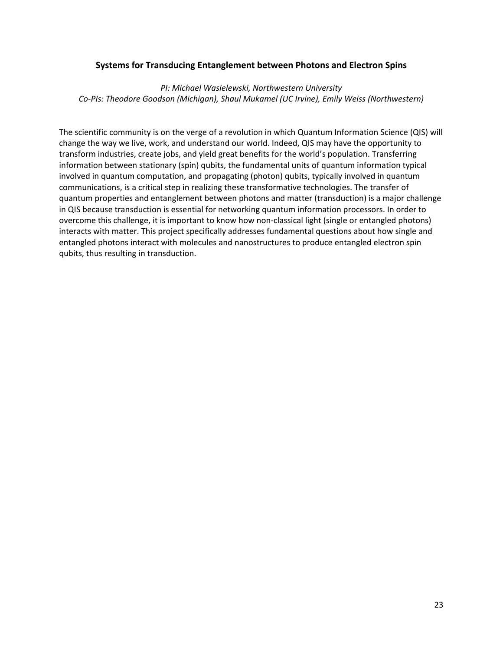#### **Systems for Transducing Entanglement between Photons and Electron Spins**

*PI: Michael Wasielewski, Northwestern University Co-PIs: Theodore Goodson (Michigan), Shaul Mukamel (UC Irvine), Emily Weiss (Northwestern)*

The scientific community is on the verge of a revolution in which Quantum Information Science (QIS) will change the way we live, work, and understand our world. Indeed, QIS may have the opportunity to transform industries, create jobs, and yield great benefits for the world's population. Transferring information between stationary (spin) qubits, the fundamental units of quantum information typical involved in quantum computation, and propagating (photon) qubits, typically involved in quantum communications, is a critical step in realizing these transformative technologies. The transfer of quantum properties and entanglement between photons and matter (transduction) is a major challenge in QIS because transduction is essential for networking quantum information processors. In order to overcome this challenge, it is important to know how non-classical light (single or entangled photons) interacts with matter. This project specifically addresses fundamental questions about how single and entangled photons interact with molecules and nanostructures to produce entangled electron spin qubits, thus resulting in transduction.